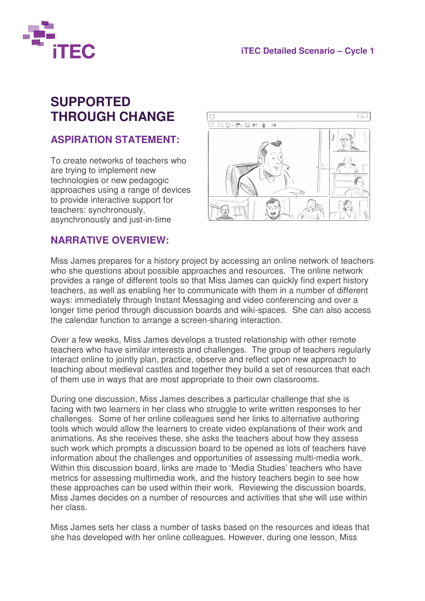

## **SUPPORTED THROUGH CHANGE**

## **ASPIRATION STATEMENT:**

To create networks of teachers who are trying to implement new technologies or new pedagogic approaches using a range of devices to provide interactive support for teachers: synchronously, asynchronously and just-in-time



## **NARRATIVE OVERVIEW:**

Miss James prepares for a history project by accessing an online network of teachers who she questions about possible approaches and resources. The online network provides a range of different tools so that Miss James can quickly find expert history teachers, as well as enabling her to communicate with them in a number of different ways: immediately through Instant Messaging and video conferencing and over a longer time period through discussion boards and wiki-spaces. She can also access the calendar function to arrange a screen-sharing interaction.

Over a few weeks, Miss James develops a trusted relationship with other remote teachers who have similar interests and challenges. The group of teachers regularly interact online to jointly plan, practice, observe and reflect upon new approach to teaching about medieval castles and together they build a set of resources that each of them use in ways that are most appropriate to their own classrooms.

During one discussion, Miss James describes a particular challenge that she is facing with two learners in her class who struggle to write written responses to her challenges. Some of her online colleagues send her links to alternative authoring tools which would allow the learners to create video explanations of their work and animations. As she receives these, she asks the teachers about how they assess such work which prompts a discussion board to be opened as lots of teachers have information about the challenges and opportunities of assessing multi-media work. Within this discussion board, links are made to 'Media Studies' teachers who have metrics for assessing multimedia work, and the history teachers begin to see how these approaches can be used within their work. Reviewing the discussion boards, Miss James decides on a number of resources and activities that she will use within her class.

Miss James sets her class a number of tasks based on the resources and ideas that she has developed with her online colleagues. However, during one lesson, Miss